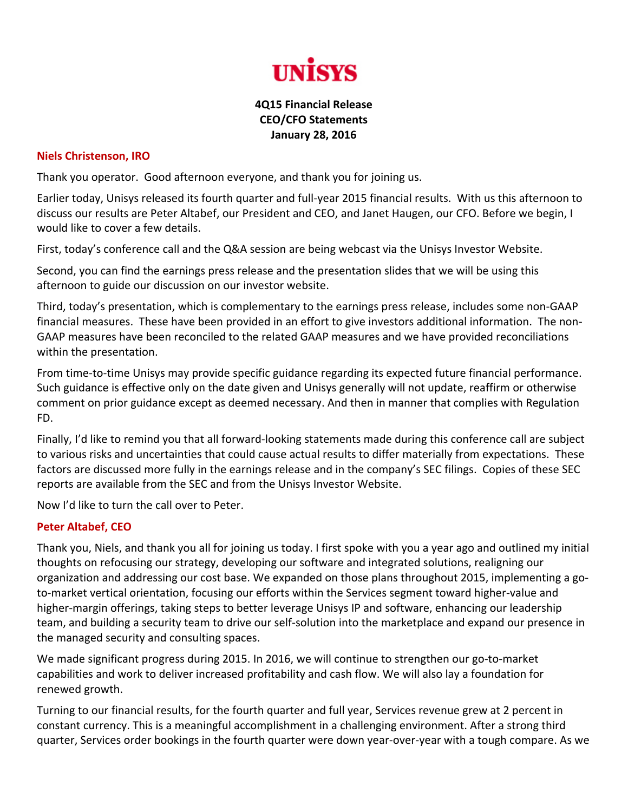

## **4Q15 Financial Release CEO/CFO Statements January 28, 2016**

## **Niels Christenson, IRO**

Thank you operator. Good afternoon everyone, and thank you for joining us.

Earlier today, Unisys released its fourth quarter and full‐year 2015 financial results. With us this afternoon to discuss our results are Peter Altabef, our President and CEO, and Janet Haugen, our CFO. Before we begin, I would like to cover a few details.

First, today's conference call and the Q&A session are being webcast via the Unisys Investor Website.

Second, you can find the earnings press release and the presentation slides that we will be using this afternoon to guide our discussion on our investor website.

Third, today's presentation, which is complementary to the earnings press release, includes some non‐GAAP financial measures. These have been provided in an effort to give investors additional information. The non‐ GAAP measures have been reconciled to the related GAAP measures and we have provided reconciliations within the presentation.

From time-to-time Unisys may provide specific guidance regarding its expected future financial performance. Such guidance is effective only on the date given and Unisys generally will not update, reaffirm or otherwise comment on prior guidance except as deemed necessary. And then in manner that complies with Regulation FD.

Finally, I'd like to remind you that all forward-looking statements made during this conference call are subject to various risks and uncertainties that could cause actual results to differ materially from expectations. These factors are discussed more fully in the earnings release and in the company's SEC filings. Copies of these SEC reports are available from the SEC and from the Unisys Investor Website.

Now I'd like to turn the call over to Peter.

## **Peter Altabef, CEO**

Thank you, Niels, and thank you all for joining us today. I first spoke with you a year ago and outlined my initial thoughts on refocusing our strategy, developing our software and integrated solutions, realigning our organization and addressing our cost base. We expanded on those plans throughout 2015, implementing a go‐ to-market vertical orientation, focusing our efforts within the Services segment toward higher-value and higher-margin offerings, taking steps to better leverage Unisys IP and software, enhancing our leadership team, and building a security team to drive our self‐solution into the marketplace and expand our presence in the managed security and consulting spaces.

We made significant progress during 2015. In 2016, we will continue to strengthen our go-to-market capabilities and work to deliver increased profitability and cash flow. We will also lay a foundation for renewed growth.

Turning to our financial results, for the fourth quarter and full year, Services revenue grew at 2 percent in constant currency. This is a meaningful accomplishment in a challenging environment. After a strong third quarter, Services order bookings in the fourth quarter were down year‐over‐year with a tough compare. As we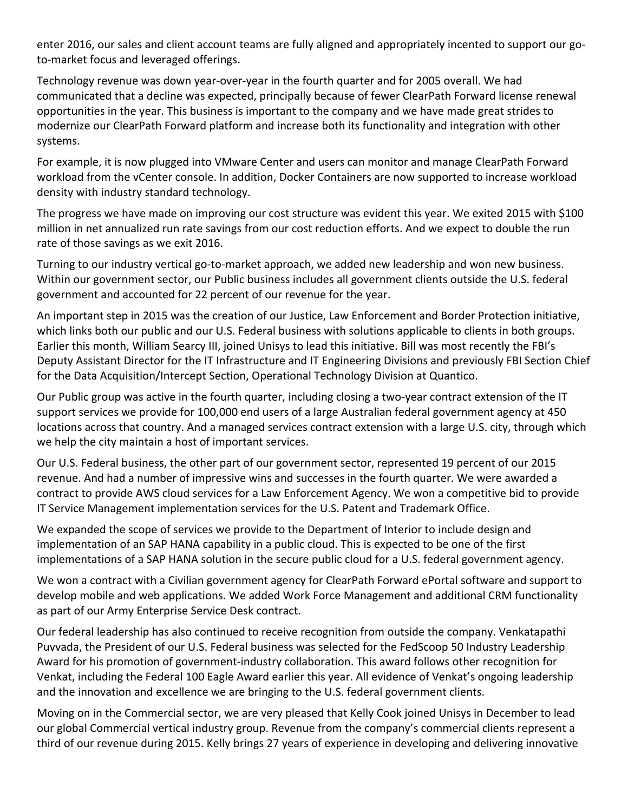enter 2016, our sales and client account teams are fully aligned and appropriately incented to support our goto‐market focus and leveraged offerings.

Technology revenue was down year-over-year in the fourth quarter and for 2005 overall. We had communicated that a decline was expected, principally because of fewer ClearPath Forward license renewal opportunities in the year. This business is important to the company and we have made great strides to modernize our ClearPath Forward platform and increase both its functionality and integration with other systems.

For example, it is now plugged into VMware Center and users can monitor and manage ClearPath Forward workload from the vCenter console. In addition, Docker Containers are now supported to increase workload density with industry standard technology.

The progress we have made on improving our cost structure was evident this year. We exited 2015 with \$100 million in net annualized run rate savings from our cost reduction efforts. And we expect to double the run rate of those savings as we exit 2016.

Turning to our industry vertical go-to-market approach, we added new leadership and won new business. Within our government sector, our Public business includes all government clients outside the U.S. federal government and accounted for 22 percent of our revenue for the year.

An important step in 2015 was the creation of our Justice, Law Enforcement and Border Protection initiative, which links both our public and our U.S. Federal business with solutions applicable to clients in both groups. Earlier this month, William Searcy III, joined Unisys to lead this initiative. Bill was most recently the FBI's Deputy Assistant Director for the IT Infrastructure and IT Engineering Divisions and previously FBI Section Chief for the Data Acquisition/Intercept Section, Operational Technology Division at Quantico.

Our Public group was active in the fourth quarter, including closing a two-year contract extension of the IT support services we provide for 100,000 end users of a large Australian federal government agency at 450 locations across that country. And a managed services contract extension with a large U.S. city, through which we help the city maintain a host of important services.

Our U.S. Federal business, the other part of our government sector, represented 19 percent of our 2015 revenue. And had a number of impressive wins and successes in the fourth quarter. We were awarded a contract to provide AWS cloud services for a Law Enforcement Agency. We won a competitive bid to provide IT Service Management implementation services for the U.S. Patent and Trademark Office.

We expanded the scope of services we provide to the Department of Interior to include design and implementation of an SAP HANA capability in a public cloud. This is expected to be one of the first implementations of a SAP HANA solution in the secure public cloud for a U.S. federal government agency.

We won a contract with a Civilian government agency for ClearPath Forward ePortal software and support to develop mobile and web applications. We added Work Force Management and additional CRM functionality as part of our Army Enterprise Service Desk contract.

Our federal leadership has also continued to receive recognition from outside the company. Venkatapathi Puvvada, the President of our U.S. Federal business was selected for the FedScoop 50 Industry Leadership Award for his promotion of government‐industry collaboration. This award follows other recognition for Venkat, including the Federal 100 Eagle Award earlier this year. All evidence of Venkat's ongoing leadership and the innovation and excellence we are bringing to the U.S. federal government clients.

Moving on in the Commercial sector, we are very pleased that Kelly Cook joined Unisys in December to lead our global Commercial vertical industry group. Revenue from the company's commercial clients represent a third of our revenue during 2015. Kelly brings 27 years of experience in developing and delivering innovative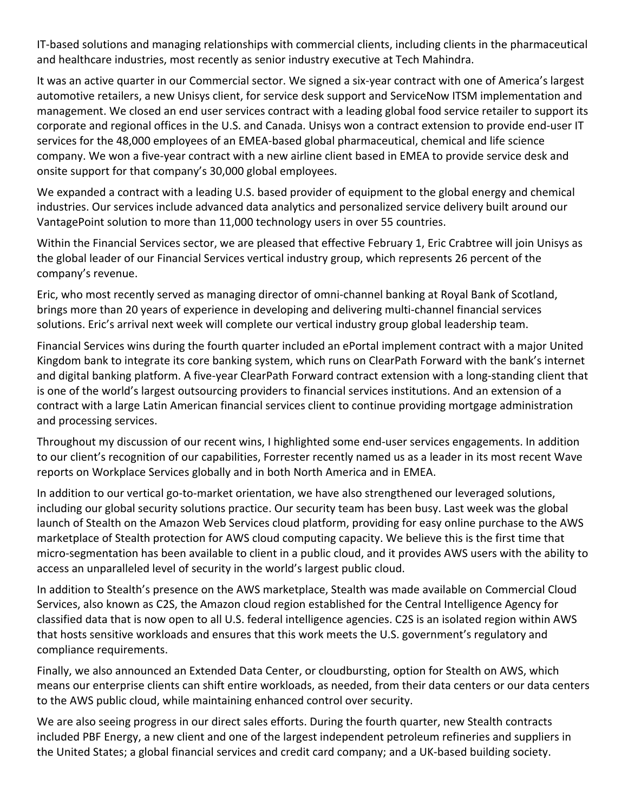IT‐based solutions and managing relationships with commercial clients, including clients in the pharmaceutical and healthcare industries, most recently as senior industry executive at Tech Mahindra.

It was an active quarter in our Commercial sector. We signed a six‐year contract with one of America's largest automotive retailers, a new Unisys client, for service desk support and ServiceNow ITSM implementation and management. We closed an end user services contract with a leading global food service retailer to support its corporate and regional offices in the U.S. and Canada. Unisys won a contract extension to provide end‐user IT services for the 48,000 employees of an EMEA‐based global pharmaceutical, chemical and life science company. We won a five‐year contract with a new airline client based in EMEA to provide service desk and onsite support for that company's 30,000 global employees.

We expanded a contract with a leading U.S. based provider of equipment to the global energy and chemical industries. Our services include advanced data analytics and personalized service delivery built around our VantagePoint solution to more than 11,000 technology users in over 55 countries.

Within the Financial Services sector, we are pleased that effective February 1, Eric Crabtree will join Unisys as the global leader of our Financial Services vertical industry group, which represents 26 percent of the company's revenue.

Eric, who most recently served as managing director of omni‐channel banking at Royal Bank of Scotland, brings more than 20 years of experience in developing and delivering multi‐channel financial services solutions. Eric's arrival next week will complete our vertical industry group global leadership team.

Financial Services wins during the fourth quarter included an ePortal implement contract with a major United Kingdom bank to integrate its core banking system, which runs on ClearPath Forward with the bank's internet and digital banking platform. A five‐year ClearPath Forward contract extension with a long‐standing client that is one of the world's largest outsourcing providers to financial services institutions. And an extension of a contract with a large Latin American financial services client to continue providing mortgage administration and processing services.

Throughout my discussion of our recent wins, I highlighted some end‐user services engagements. In addition to our client's recognition of our capabilities, Forrester recently named us as a leader in its most recent Wave reports on Workplace Services globally and in both North America and in EMEA.

In addition to our vertical go-to-market orientation, we have also strengthened our leveraged solutions, including our global security solutions practice. Our security team has been busy. Last week was the global launch of Stealth on the Amazon Web Services cloud platform, providing for easy online purchase to the AWS marketplace of Stealth protection for AWS cloud computing capacity. We believe this is the first time that micro‐segmentation has been available to client in a public cloud, and it provides AWS users with the ability to access an unparalleled level of security in the world's largest public cloud.

In addition to Stealth's presence on the AWS marketplace, Stealth was made available on Commercial Cloud Services, also known as C2S, the Amazon cloud region established for the Central Intelligence Agency for classified data that is now open to all U.S. federal intelligence agencies. C2S is an isolated region within AWS that hosts sensitive workloads and ensures that this work meets the U.S. government's regulatory and compliance requirements.

Finally, we also announced an Extended Data Center, or cloudbursting, option for Stealth on AWS, which means our enterprise clients can shift entire workloads, as needed, from their data centers or our data centers to the AWS public cloud, while maintaining enhanced control over security.

We are also seeing progress in our direct sales efforts. During the fourth quarter, new Stealth contracts included PBF Energy, a new client and one of the largest independent petroleum refineries and suppliers in the United States; a global financial services and credit card company; and a UK‐based building society.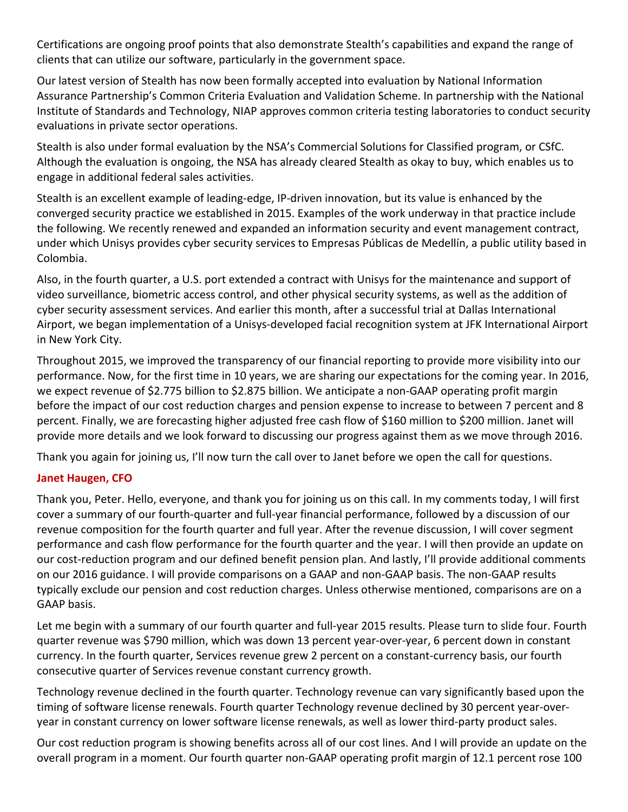Certifications are ongoing proof points that also demonstrate Stealth's capabilities and expand the range of clients that can utilize our software, particularly in the government space.

Our latest version of Stealth has now been formally accepted into evaluation by National Information Assurance Partnership's Common Criteria Evaluation and Validation Scheme. In partnership with the National Institute of Standards and Technology, NIAP approves common criteria testing laboratories to conduct security evaluations in private sector operations.

Stealth is also under formal evaluation by the NSA's Commercial Solutions for Classified program, or CSfC. Although the evaluation is ongoing, the NSA has already cleared Stealth as okay to buy, which enables us to engage in additional federal sales activities.

Stealth is an excellent example of leading‐edge, IP‐driven innovation, but its value is enhanced by the converged security practice we established in 2015. Examples of the work underway in that practice include the following. We recently renewed and expanded an information security and event management contract, under which Unisys provides cyber security services to Empresas Públicas de Medellín, a public utility based in Colombia.

Also, in the fourth quarter, a U.S. port extended a contract with Unisys for the maintenance and support of video surveillance, biometric access control, and other physical security systems, as well as the addition of cyber security assessment services. And earlier this month, after a successful trial at Dallas International Airport, we began implementation of a Unisys‐developed facial recognition system at JFK International Airport in New York City.

Throughout 2015, we improved the transparency of our financial reporting to provide more visibility into our performance. Now, for the first time in 10 years, we are sharing our expectations for the coming year. In 2016, we expect revenue of \$2.775 billion to \$2.875 billion. We anticipate a non‐GAAP operating profit margin before the impact of our cost reduction charges and pension expense to increase to between 7 percent and 8 percent. Finally, we are forecasting higher adjusted free cash flow of \$160 million to \$200 million. Janet will provide more details and we look forward to discussing our progress against them as we move through 2016.

Thank you again for joining us, I'll now turn the call over to Janet before we open the call for questions.

## **Janet Haugen, CFO**

Thank you, Peter. Hello, everyone, and thank you for joining us on this call. In my comments today, I will first cover a summary of our fourth‐quarter and full‐year financial performance, followed by a discussion of our revenue composition for the fourth quarter and full year. After the revenue discussion, I will cover segment performance and cash flow performance for the fourth quarter and the year. I will then provide an update on our cost-reduction program and our defined benefit pension plan. And lastly, I'll provide additional comments on our 2016 guidance. I will provide comparisons on a GAAP and non‐GAAP basis. The non‐GAAP results typically exclude our pension and cost reduction charges. Unless otherwise mentioned, comparisons are on a GAAP basis.

Let me begin with a summary of our fourth quarter and full-year 2015 results. Please turn to slide four. Fourth quarter revenue was \$790 million, which was down 13 percent year‐over‐year, 6 percent down in constant currency. In the fourth quarter, Services revenue grew 2 percent on a constant‐currency basis, our fourth consecutive quarter of Services revenue constant currency growth.

Technology revenue declined in the fourth quarter. Technology revenue can vary significantly based upon the timing of software license renewals. Fourth quarter Technology revenue declined by 30 percent year‐over‐ year in constant currency on lower software license renewals, as well as lower third-party product sales.

Our cost reduction program is showing benefits across all of our cost lines. And I will provide an update on the overall program in a moment. Our fourth quarter non‐GAAP operating profit margin of 12.1 percent rose 100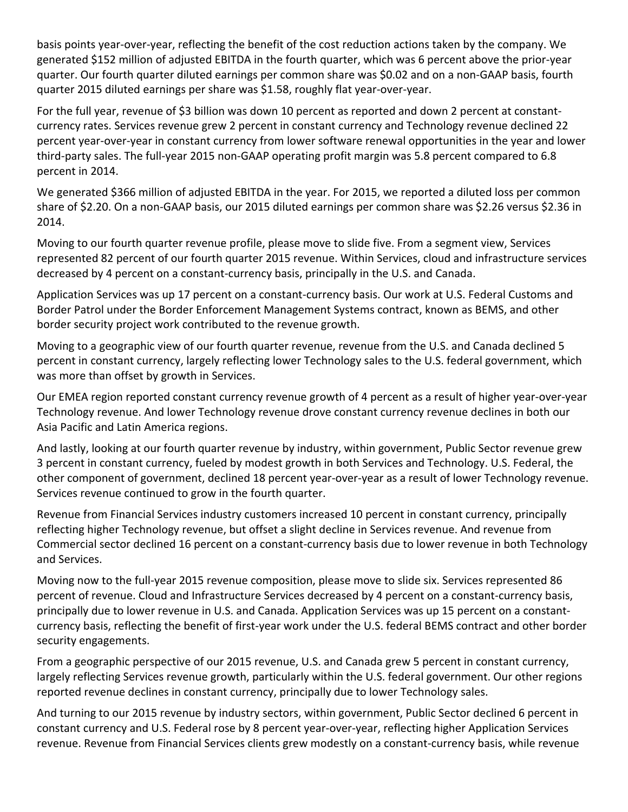basis points year‐over‐year, reflecting the benefit of the cost reduction actions taken by the company. We generated \$152 million of adjusted EBITDA in the fourth quarter, which was 6 percent above the prior‐year quarter. Our fourth quarter diluted earnings per common share was \$0.02 and on a non‐GAAP basis, fourth quarter 2015 diluted earnings per share was \$1.58, roughly flat year‐over‐year.

For the full year, revenue of \$3 billion was down 10 percent as reported and down 2 percent at constantcurrency rates. Services revenue grew 2 percent in constant currency and Technology revenue declined 22 percent year‐over‐year in constant currency from lower software renewal opportunities in the year and lower third‐party sales. The full‐year 2015 non‐GAAP operating profit margin was 5.8 percent compared to 6.8 percent in 2014.

We generated \$366 million of adjusted EBITDA in the year. For 2015, we reported a diluted loss per common share of \$2.20. On a non‐GAAP basis, our 2015 diluted earnings per common share was \$2.26 versus \$2.36 in 2014.

Moving to our fourth quarter revenue profile, please move to slide five. From a segment view, Services represented 82 percent of our fourth quarter 2015 revenue. Within Services, cloud and infrastructure services decreased by 4 percent on a constant‐currency basis, principally in the U.S. and Canada.

Application Services was up 17 percent on a constant‐currency basis. Our work at U.S. Federal Customs and Border Patrol under the Border Enforcement Management Systems contract, known as BEMS, and other border security project work contributed to the revenue growth.

Moving to a geographic view of our fourth quarter revenue, revenue from the U.S. and Canada declined 5 percent in constant currency, largely reflecting lower Technology sales to the U.S. federal government, which was more than offset by growth in Services.

Our EMEA region reported constant currency revenue growth of 4 percent as a result of higher year‐over‐year Technology revenue. And lower Technology revenue drove constant currency revenue declines in both our Asia Pacific and Latin America regions.

And lastly, looking at our fourth quarter revenue by industry, within government, Public Sector revenue grew 3 percent in constant currency, fueled by modest growth in both Services and Technology. U.S. Federal, the other component of government, declined 18 percent year‐over‐year as a result of lower Technology revenue. Services revenue continued to grow in the fourth quarter.

Revenue from Financial Services industry customers increased 10 percent in constant currency, principally reflecting higher Technology revenue, but offset a slight decline in Services revenue. And revenue from Commercial sector declined 16 percent on a constant‐currency basis due to lower revenue in both Technology and Services.

Moving now to the full‐year 2015 revenue composition, please move to slide six. Services represented 86 percent of revenue. Cloud and Infrastructure Services decreased by 4 percent on a constant‐currency basis, principally due to lower revenue in U.S. and Canada. Application Services was up 15 percent on a constant‐ currency basis, reflecting the benefit of first‐year work under the U.S. federal BEMS contract and other border security engagements.

From a geographic perspective of our 2015 revenue, U.S. and Canada grew 5 percent in constant currency, largely reflecting Services revenue growth, particularly within the U.S. federal government. Our other regions reported revenue declines in constant currency, principally due to lower Technology sales.

And turning to our 2015 revenue by industry sectors, within government, Public Sector declined 6 percent in constant currency and U.S. Federal rose by 8 percent year-over-year, reflecting higher Application Services revenue. Revenue from Financial Services clients grew modestly on a constant-currency basis, while revenue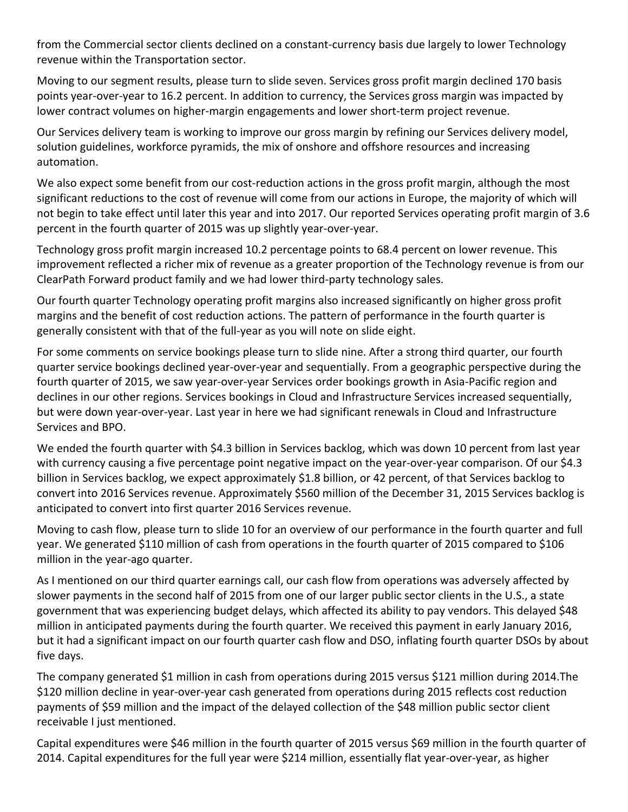from the Commercial sector clients declined on a constant‐currency basis due largely to lower Technology revenue within the Transportation sector.

Moving to our segment results, please turn to slide seven. Services gross profit margin declined 170 basis points year‐over‐year to 16.2 percent. In addition to currency, the Services gross margin was impacted by lower contract volumes on higher‐margin engagements and lower short‐term project revenue.

Our Services delivery team is working to improve our gross margin by refining our Services delivery model, solution guidelines, workforce pyramids, the mix of onshore and offshore resources and increasing automation.

We also expect some benefit from our cost-reduction actions in the gross profit margin, although the most significant reductions to the cost of revenue will come from our actions in Europe, the majority of which will not begin to take effect until later this year and into 2017. Our reported Services operating profit margin of 3.6 percent in the fourth quarter of 2015 was up slightly year‐over‐year.

Technology gross profit margin increased 10.2 percentage points to 68.4 percent on lower revenue. This improvement reflected a richer mix of revenue as a greater proportion of the Technology revenue is from our ClearPath Forward product family and we had lower third‐party technology sales.

Our fourth quarter Technology operating profit margins also increased significantly on higher gross profit margins and the benefit of cost reduction actions. The pattern of performance in the fourth quarter is generally consistent with that of the full‐year as you will note on slide eight.

For some comments on service bookings please turn to slide nine. After a strong third quarter, our fourth quarter service bookings declined year‐over‐year and sequentially. From a geographic perspective during the fourth quarter of 2015, we saw year‐over‐year Services order bookings growth in Asia‐Pacific region and declines in our other regions. Services bookings in Cloud and Infrastructure Services increased sequentially, but were down year‐over‐year. Last year in here we had significant renewals in Cloud and Infrastructure Services and BPO.

We ended the fourth quarter with \$4.3 billion in Services backlog, which was down 10 percent from last year with currency causing a five percentage point negative impact on the year-over-year comparison. Of our \$4.3 billion in Services backlog, we expect approximately \$1.8 billion, or 42 percent, of that Services backlog to convert into 2016 Services revenue. Approximately \$560 million of the December 31, 2015 Services backlog is anticipated to convert into first quarter 2016 Services revenue.

Moving to cash flow, please turn to slide 10 for an overview of our performance in the fourth quarter and full year. We generated \$110 million of cash from operations in the fourth quarter of 2015 compared to \$106 million in the year‐ago quarter.

As I mentioned on our third quarter earnings call, our cash flow from operations was adversely affected by slower payments in the second half of 2015 from one of our larger public sector clients in the U.S., a state government that was experiencing budget delays, which affected its ability to pay vendors. This delayed \$48 million in anticipated payments during the fourth quarter. We received this payment in early January 2016, but it had a significant impact on our fourth quarter cash flow and DSO, inflating fourth quarter DSOs by about five days.

The company generated \$1 million in cash from operations during 2015 versus \$121 million during 2014.The \$120 million decline in year‐over‐year cash generated from operations during 2015 reflects cost reduction payments of \$59 million and the impact of the delayed collection of the \$48 million public sector client receivable I just mentioned.

Capital expenditures were \$46 million in the fourth quarter of 2015 versus \$69 million in the fourth quarter of 2014. Capital expenditures for the full year were \$214 million, essentially flat year‐over‐year, as higher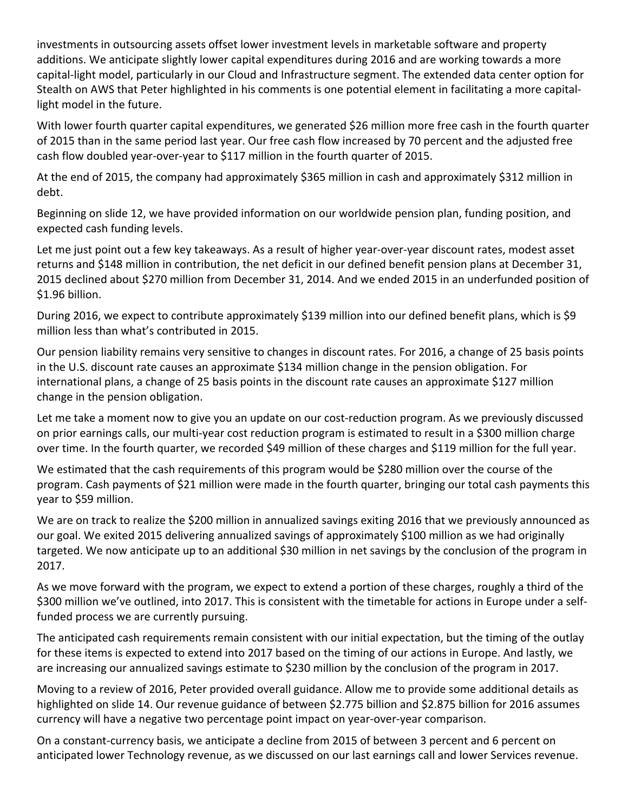investments in outsourcing assets offset lower investment levels in marketable software and property additions. We anticipate slightly lower capital expenditures during 2016 and are working towards a more capital‐light model, particularly in our Cloud and Infrastructure segment. The extended data center option for Stealth on AWS that Peter highlighted in his comments is one potential element in facilitating a more capital‐ light model in the future.

With lower fourth quarter capital expenditures, we generated \$26 million more free cash in the fourth quarter of 2015 than in the same period last year. Our free cash flow increased by 70 percent and the adjusted free cash flow doubled year‐over‐year to \$117 million in the fourth quarter of 2015.

At the end of 2015, the company had approximately \$365 million in cash and approximately \$312 million in debt.

Beginning on slide 12, we have provided information on our worldwide pension plan, funding position, and expected cash funding levels.

Let me just point out a few key takeaways. As a result of higher year-over-year discount rates, modest asset returns and \$148 million in contribution, the net deficit in our defined benefit pension plans at December 31, 2015 declined about \$270 million from December 31, 2014. And we ended 2015 in an underfunded position of \$1.96 billion.

During 2016, we expect to contribute approximately \$139 million into our defined benefit plans, which is \$9 million less than what's contributed in 2015.

Our pension liability remains very sensitive to changes in discount rates. For 2016, a change of 25 basis points in the U.S. discount rate causes an approximate \$134 million change in the pension obligation. For international plans, a change of 25 basis points in the discount rate causes an approximate \$127 million change in the pension obligation.

Let me take a moment now to give you an update on our cost-reduction program. As we previously discussed on prior earnings calls, our multi‐year cost reduction program is estimated to result in a \$300 million charge over time. In the fourth quarter, we recorded \$49 million of these charges and \$119 million for the full year.

We estimated that the cash requirements of this program would be \$280 million over the course of the program. Cash payments of \$21 million were made in the fourth quarter, bringing our total cash payments this year to \$59 million.

We are on track to realize the \$200 million in annualized savings exiting 2016 that we previously announced as our goal. We exited 2015 delivering annualized savings of approximately \$100 million as we had originally targeted. We now anticipate up to an additional \$30 million in net savings by the conclusion of the program in 2017.

As we move forward with the program, we expect to extend a portion of these charges, roughly a third of the \$300 million we've outlined, into 2017. This is consistent with the timetable for actions in Europe under a selffunded process we are currently pursuing.

The anticipated cash requirements remain consistent with our initial expectation, but the timing of the outlay for these items is expected to extend into 2017 based on the timing of our actions in Europe. And lastly, we are increasing our annualized savings estimate to \$230 million by the conclusion of the program in 2017.

Moving to a review of 2016, Peter provided overall guidance. Allow me to provide some additional details as highlighted on slide 14. Our revenue guidance of between \$2.775 billion and \$2.875 billion for 2016 assumes currency will have a negative two percentage point impact on year‐over‐year comparison.

On a constant‐currency basis, we anticipate a decline from 2015 of between 3 percent and 6 percent on anticipated lower Technology revenue, as we discussed on our last earnings call and lower Services revenue.